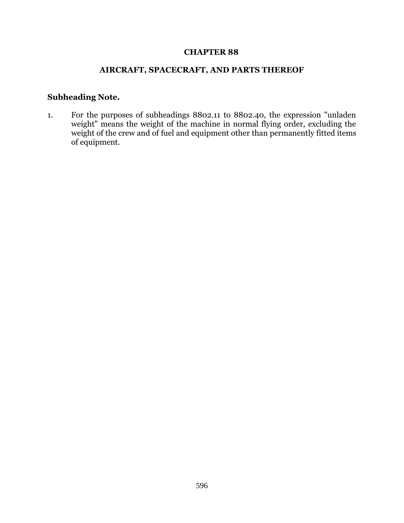## **CHAPTER 88**

## **AIRCRAFT, SPACECRAFT, AND PARTS THEREOF**

## **Subheading Note.**

1. For the purposes of subheadings 8802.11 to 8802.40, the expression "unladen weight" means the weight of the machine in normal flying order, excluding the weight of the crew and of fuel and equipment other than permanently fitted items of equipment.